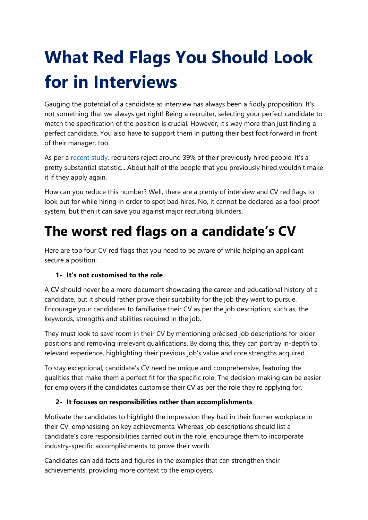# **What Red Flags You Should Look for in Interviews**

Gauging the potential of a candidate at interview has always been a fiddly proposition. It's not something that we always get right! Being a recruiter, selecting your perfect candidate to match the specification of the position is crucial. However, it's way more than just finding a perfect candidate. You also have to support them in putting their best foot forward in front of their manager, too.

As per a [recent study,](http://www.hci.org/lib/experience-recruiting-marketing-through-eyes-recruiter) recruiters reject around 39% of their previously hired people. It's a pretty substantial statistic... About half of the people that you previously hired wouldn't make it if they apply again.

How can you reduce this number? Well, there are a plenty of interview and CV red flags to look out for while hiring in order to spot bad hires. No, it cannot be declared as a fool proof system, but then it can save you against major recruiting blunders.

### **The worst red flags on a candidate's CV**

Here are top four CV red flags that you need to be aware of while helping an applicant secure a position:

### **1- It's not customised to the role**

A CV should never be a mere document showcasing the career and educational history of a candidate, but it should rather prove their suitability for the job they want to pursue. Encourage your candidates to familiarise their CV as per the job description, such as, the keywords, strengths and abilities required in the job.

They must look to save room in their CV by mentioning précised job descriptions for older positions and removing irrelevant qualifications. By doing this, they can portray in-depth to relevant experience, highlighting their previous job's value and core strengths acquired.

To stay exceptional, candidate's CV need be unique and comprehensive, featuring the qualities that make them a perfect fit for the specific role. The decision-making can be easier for employers if the candidates customise their CV as per the role they're applying for.

### **2- It focuses on responsibilities rather than accomplishments**

Motivate the candidates to highlight the impression they had in their former workplace in their CV, emphasising on key achievements. Whereas job descriptions should list a candidate's core responsibilities carried out in the role, encourage them to incorporate industry-specific accomplishments to prove their worth.

Candidates can add facts and figures in the examples that can strengthen their achievements, providing more context to the employers.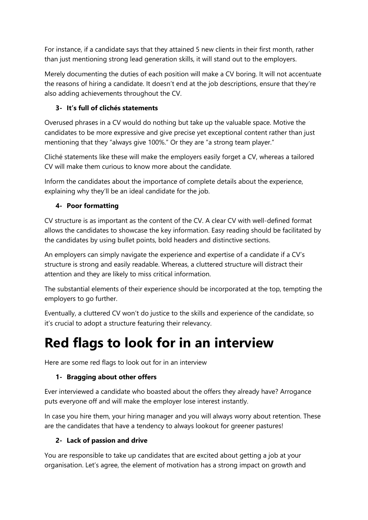For instance, if a candidate says that they attained 5 new clients in their first month, rather than just mentioning strong lead generation skills, it will stand out to the employers.

Merely documenting the duties of each position will make a CV boring. It will not accentuate the reasons of hiring a candidate. It doesn't end at the job descriptions, ensure that they're also adding achievements throughout the CV.

### **3- It's full of clichés statements**

Overused phrases in a CV would do nothing but take up the valuable space. Motive the candidates to be more expressive and give precise yet exceptional content rather than just mentioning that they "always give 100%." Or they are "a strong team player."

Cliché statements like these will make the employers easily forget a CV, whereas a tailored CV will make them curious to know more about the candidate.

Inform the candidates about the importance of complete details about the experience, explaining why they'll be an ideal candidate for the job.

### **4- Poor formatting**

CV structure is as important as the content of the CV. A clear CV with well-defined format allows the candidates to showcase the key information. Easy reading should be facilitated by the candidates by using bullet points, bold headers and distinctive sections.

An employers can simply navigate the experience and expertise of a candidate if a CV's structure is strong and easily readable. Whereas, a cluttered structure will distract their attention and they are likely to miss critical information.

The substantial elements of their experience should be incorporated at the top, tempting the employers to go further.

Eventually, a cluttered CV won't do justice to the skills and experience of the candidate, so it's crucial to adopt a structure featuring their relevancy.

### **Red flags to look for in an interview**

Here are some red flags to look out for in an interview

### **1- Bragging about other offers**

Ever interviewed a candidate who boasted about the offers they already have? Arrogance puts everyone off and will make the employer lose interest instantly.

In case you hire them, your hiring manager and you will always worry about retention. These are the candidates that have a tendency to always lookout for greener pastures!

### **2- Lack of passion and drive**

You are responsible to take up candidates that are excited about getting a job at your organisation. Let's agree, the element of motivation has a strong impact on growth and